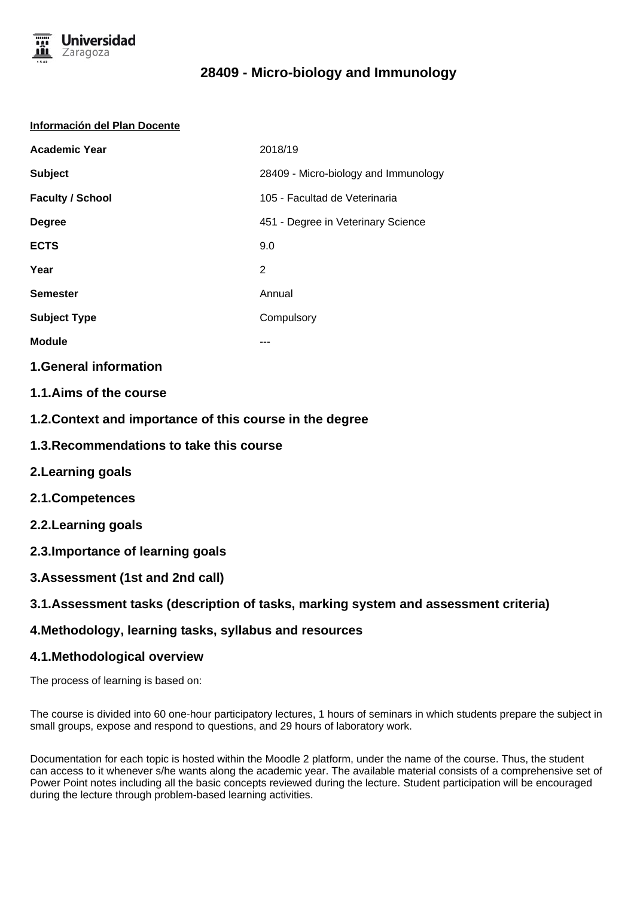

### **Información del Plan Docente**

| <b>Academic Year</b>    | 2018/19                              |
|-------------------------|--------------------------------------|
| <b>Subject</b>          | 28409 - Micro-biology and Immunology |
| <b>Faculty / School</b> | 105 - Facultad de Veterinaria        |
| <b>Degree</b>           | 451 - Degree in Veterinary Science   |
| <b>ECTS</b>             | 9.0                                  |
| Year                    | $\overline{2}$                       |
| <b>Semester</b>         | Annual                               |
| <b>Subject Type</b>     | Compulsory                           |
| <b>Module</b>           | ---                                  |

### **1.General information**

- **1.1.Aims of the course**
- **1.2.Context and importance of this course in the degree**
- **1.3.Recommendations to take this course**
- **2.Learning goals**
- **2.1.Competences**
- **2.2.Learning goals**
- **2.3.Importance of learning goals**
- **3.Assessment (1st and 2nd call)**

### **3.1.Assessment tasks (description of tasks, marking system and assessment criteria)**

### **4.Methodology, learning tasks, syllabus and resources**

### **4.1.Methodological overview**

The process of learning is based on:

The course is divided into 60 one-hour participatory lectures, 1 hours of seminars in which students prepare the subject in small groups, expose and respond to questions, and 29 hours of laboratory work.

Documentation for each topic is hosted within the Moodle 2 platform, under the name of the course. Thus, the student can access to it whenever s/he wants along the academic year. The available material consists of a comprehensive set of Power Point notes including all the basic concepts reviewed during the lecture. Student participation will be encouraged during the lecture through problem-based learning activities.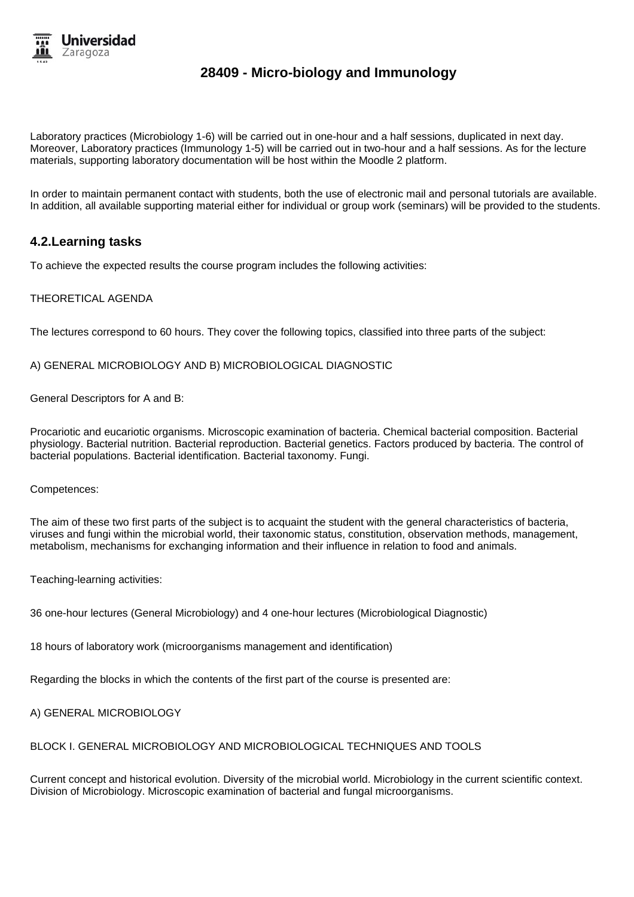

Laboratory practices (Microbiology 1-6) will be carried out in one-hour and a half sessions, duplicated in next day. Moreover, Laboratory practices (Immunology 1-5) will be carried out in two-hour and a half sessions. As for the lecture materials, supporting laboratory documentation will be host within the Moodle 2 platform.

In order to maintain permanent contact with students, both the use of electronic mail and personal tutorials are available. In addition, all available supporting material either for individual or group work (seminars) will be provided to the students.

### **4.2.Learning tasks**

To achieve the expected results the course program includes the following activities:

### THEORETICAL AGENDA

The lectures correspond to 60 hours. They cover the following topics, classified into three parts of the subject:

A) GENERAL MICROBIOLOGY AND B) MICROBIOLOGICAL DIAGNOSTIC

General Descriptors for A and B:

Procariotic and eucariotic organisms. Microscopic examination of bacteria. Chemical bacterial composition. Bacterial physiology. Bacterial nutrition. Bacterial reproduction. Bacterial genetics. Factors produced by bacteria. The control of bacterial populations. Bacterial identification. Bacterial taxonomy. Fungi.

Competences:

The aim of these two first parts of the subject is to acquaint the student with the general characteristics of bacteria, viruses and fungi within the microbial world, their taxonomic status, constitution, observation methods, management, metabolism, mechanisms for exchanging information and their influence in relation to food and animals.

Teaching-learning activities:

36 one-hour lectures (General Microbiology) and 4 one-hour lectures (Microbiological Diagnostic)

18 hours of laboratory work (microorganisms management and identification)

Regarding the blocks in which the contents of the first part of the course is presented are:

A) GENERAL MICROBIOLOGY

BLOCK I. GENERAL MICROBIOLOGY AND MICROBIOLOGICAL TECHNIQUES AND TOOLS

Current concept and historical evolution. Diversity of the microbial world. Microbiology in the current scientific context. Division of Microbiology. Microscopic examination of bacterial and fungal microorganisms.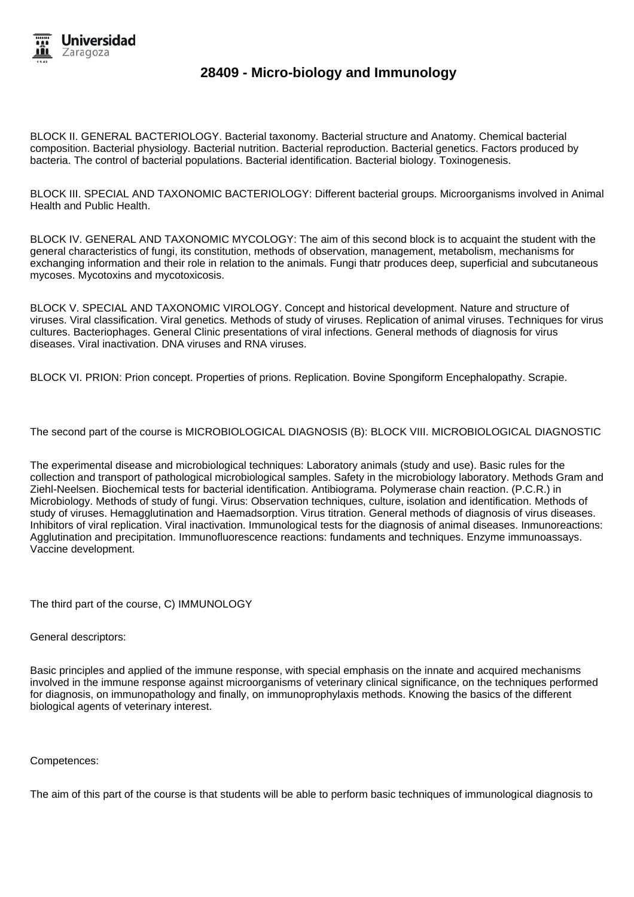

BLOCK II. GENERAL BACTERIOLOGY. Bacterial taxonomy. Bacterial structure and Anatomy. Chemical bacterial composition. Bacterial physiology. Bacterial nutrition. Bacterial reproduction. Bacterial genetics. Factors produced by bacteria. The control of bacterial populations. Bacterial identification. Bacterial biology. Toxinogenesis.

BLOCK III. SPECIAL AND TAXONOMIC BACTERIOLOGY: Different bacterial groups. Microorganisms involved in Animal Health and Public Health.

BLOCK IV. GENERAL AND TAXONOMIC MYCOLOGY: The aim of this second block is to acquaint the student with the general characteristics of fungi, its constitution, methods of observation, management, metabolism, mechanisms for exchanging information and their role in relation to the animals. Fungi thatr produces deep, superficial and subcutaneous mycoses. Mycotoxins and mycotoxicosis.

BLOCK V. SPECIAL AND TAXONOMIC VIROLOGY. Concept and historical development. Nature and structure of viruses. Viral classification. Viral genetics. Methods of study of viruses. Replication of animal viruses. Techniques for virus cultures. Bacteriophages. General Clinic presentations of viral infections. General methods of diagnosis for virus diseases. Viral inactivation. DNA viruses and RNA viruses.

BLOCK VI. PRION: Prion concept. Properties of prions. Replication. Bovine Spongiform Encephalopathy. Scrapie.

The second part of the course is MICROBIOLOGICAL DIAGNOSIS (B): BLOCK VIII. MICROBIOLOGICAL DIAGNOSTIC

The experimental disease and microbiological techniques: Laboratory animals (study and use). Basic rules for the collection and transport of pathological microbiological samples. Safety in the microbiology laboratory. Methods Gram and Ziehl-Neelsen. Biochemical tests for bacterial identification. Antibiograma. Polymerase chain reaction. (P.C.R.) in Microbiology. Methods of study of fungi. Virus: Observation techniques, culture, isolation and identification. Methods of study of viruses. Hemagglutination and Haemadsorption. Virus titration. General methods of diagnosis of virus diseases. Inhibitors of viral replication. Viral inactivation. Immunological tests for the diagnosis of animal diseases. Inmunoreactions: Agglutination and precipitation. Immunofluorescence reactions: fundaments and techniques. Enzyme immunoassays. Vaccine development.

The third part of the course, C) IMMUNOLOGY

General descriptors:

Basic principles and applied of the immune response, with special emphasis on the innate and acquired mechanisms involved in the immune response against microorganisms of veterinary clinical significance, on the techniques performed for diagnosis, on immunopathology and finally, on immunoprophylaxis methods. Knowing the basics of the different biological agents of veterinary interest.

Competences:

The aim of this part of the course is that students will be able to perform basic techniques of immunological diagnosis to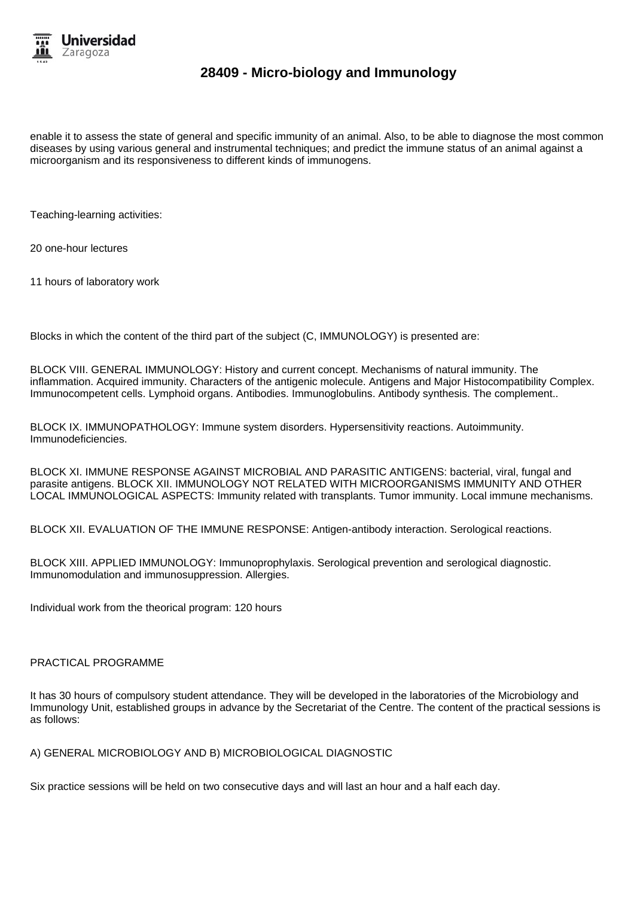

enable it to assess the state of general and specific immunity of an animal. Also, to be able to diagnose the most common diseases by using various general and instrumental techniques; and predict the immune status of an animal against a microorganism and its responsiveness to different kinds of immunogens.

Teaching-learning activities:

20 one-hour lectures

11 hours of laboratory work

Blocks in which the content of the third part of the subject (C, IMMUNOLOGY) is presented are:

BLOCK VIII. GENERAL IMMUNOLOGY: History and current concept. Mechanisms of natural immunity. The inflammation. Acquired immunity. Characters of the antigenic molecule. Antigens and Major Histocompatibility Complex. Immunocompetent cells. Lymphoid organs. Antibodies. Immunoglobulins. Antibody synthesis. The complement..

BLOCK IX. IMMUNOPATHOLOGY: Immune system disorders. Hypersensitivity reactions. Autoimmunity. Immunodeficiencies.

BLOCK XI. IMMUNE RESPONSE AGAINST MICROBIAL AND PARASITIC ANTIGENS: bacterial, viral, fungal and parasite antigens. BLOCK XII. IMMUNOLOGY NOT RELATED WITH MICROORGANISMS IMMUNITY AND OTHER LOCAL IMMUNOLOGICAL ASPECTS: Immunity related with transplants. Tumor immunity. Local immune mechanisms.

BLOCK XII. EVALUATION OF THE IMMUNE RESPONSE: Antigen-antibody interaction. Serological reactions.

BLOCK XIII. APPLIED IMMUNOLOGY: Immunoprophylaxis. Serological prevention and serological diagnostic. Immunomodulation and immunosuppression. Allergies.

Individual work from the theorical program: 120 hours

#### PRACTICAL PROGRAMME

It has 30 hours of compulsory student attendance. They will be developed in the laboratories of the Microbiology and Immunology Unit, established groups in advance by the Secretariat of the Centre. The content of the practical sessions is as follows:

A) GENERAL MICROBIOLOGY AND B) MICROBIOLOGICAL DIAGNOSTIC

Six practice sessions will be held on two consecutive days and will last an hour and a half each day.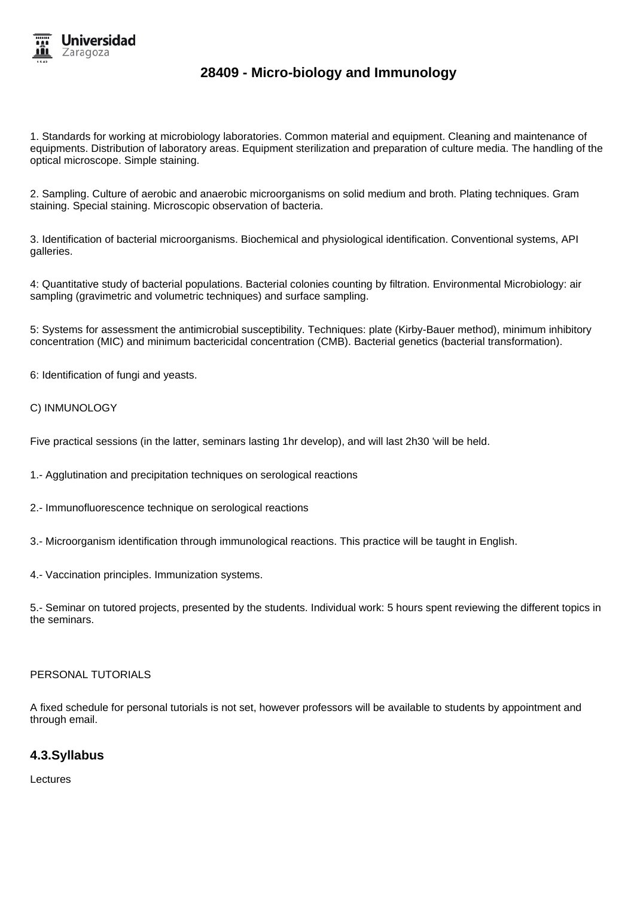

1. Standards for working at microbiology laboratories. Common material and equipment. Cleaning and maintenance of equipments. Distribution of laboratory areas. Equipment sterilization and preparation of culture media. The handling of the optical microscope. Simple staining.

2. Sampling. Culture of aerobic and anaerobic microorganisms on solid medium and broth. Plating techniques. Gram staining. Special staining. Microscopic observation of bacteria.

3. Identification of bacterial microorganisms. Biochemical and physiological identification. Conventional systems, API galleries.

4: Quantitative study of bacterial populations. Bacterial colonies counting by filtration. Environmental Microbiology: air sampling (gravimetric and volumetric techniques) and surface sampling.

5: Systems for assessment the antimicrobial susceptibility. Techniques: plate (Kirby-Bauer method), minimum inhibitory concentration (MIC) and minimum bactericidal concentration (CMB). Bacterial genetics (bacterial transformation).

6: Identification of fungi and yeasts.

#### C) INMUNOLOGY

Five practical sessions (in the latter, seminars lasting 1hr develop), and will last 2h30 'will be held.

1.- Agglutination and precipitation techniques on serological reactions

- 2.- Immunofluorescence technique on serological reactions
- 3.- Microorganism identification through immunological reactions. This practice will be taught in English.
- 4.- Vaccination principles. Immunization systems.

5.- Seminar on tutored projects, presented by the students. Individual work: 5 hours spent reviewing the different topics in the seminars.

### PERSONAL TUTORIALS

A fixed schedule for personal tutorials is not set, however professors will be available to students by appointment and through email.

### **4.3.Syllabus**

Lectures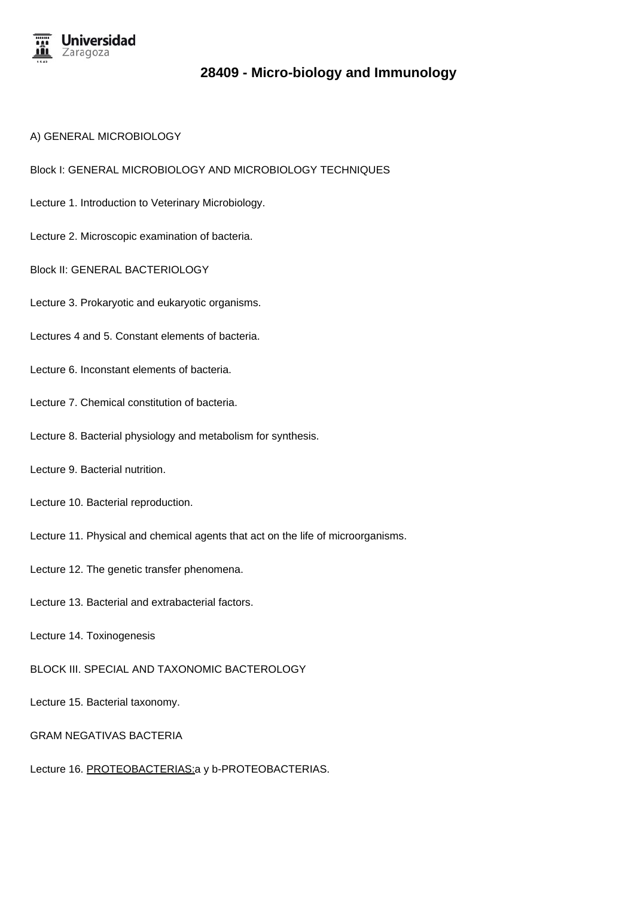

#### A) GENERAL MICROBIOLOGY

Block I: GENERAL MICROBIOLOGY AND MICROBIOLOGY TECHNIQUES

- Lecture 1. Introduction to Veterinary Microbiology.
- Lecture 2. Microscopic examination of bacteria.
- Block II: GENERAL BACTERIOLOGY
- Lecture 3. Prokaryotic and eukaryotic organisms.
- Lectures 4 and 5. Constant elements of bacteria.
- Lecture 6. Inconstant elements of bacteria.
- Lecture 7. Chemical constitution of bacteria.
- Lecture 8. Bacterial physiology and metabolism for synthesis.
- Lecture 9. Bacterial nutrition.
- Lecture 10. Bacterial reproduction.
- Lecture 11. Physical and chemical agents that act on the life of microorganisms.
- Lecture 12. The genetic transfer phenomena.
- Lecture 13. Bacterial and extrabacterial factors.
- Lecture 14. Toxinogenesis
- BLOCK III. SPECIAL AND TAXONOMIC BACTEROLOGY
- Lecture 15. Bacterial taxonomy.
- GRAM NEGATIVAS BACTERIA
- Lecture 16. PROTEOBACTERIAS: a y b-PROTEOBACTERIAS.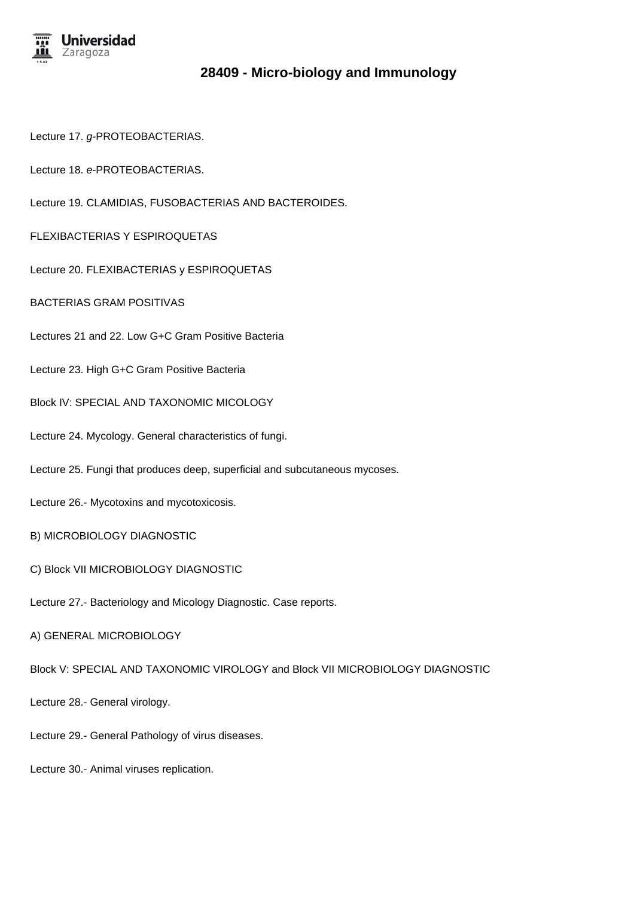

Lecture 17. g-PROTEOBACTERIAS.

Lecture 18. e-PROTEOBACTERIAS.

Lecture 19. CLAMIDIAS, FUSOBACTERIAS AND BACTEROIDES.

FLEXIBACTERIAS Y ESPIROQUETAS

Lecture 20. FLEXIBACTERIAS y ESPIROQUETAS

BACTERIAS GRAM POSITIVAS

Lectures 21 and 22. Low G+C Gram Positive Bacteria

Lecture 23. High G+C Gram Positive Bacteria

Block IV: SPECIAL AND TAXONOMIC MICOLOGY

- Lecture 24. Mycology. General characteristics of fungi.
- Lecture 25. Fungi that produces deep, superficial and subcutaneous mycoses.

Lecture 26.- Mycotoxins and mycotoxicosis.

B) MICROBIOLOGY DIAGNOSTIC

C) Block VII MICROBIOLOGY DIAGNOSTIC

Lecture 27.- Bacteriology and Micology Diagnostic. Case reports.

A) GENERAL MICROBIOLOGY

Block V: SPECIAL AND TAXONOMIC VIROLOGY and Block VII MICROBIOLOGY DIAGNOSTIC

Lecture 28.- General virology.

Lecture 29.- General Pathology of virus diseases.

Lecture 30.- Animal viruses replication.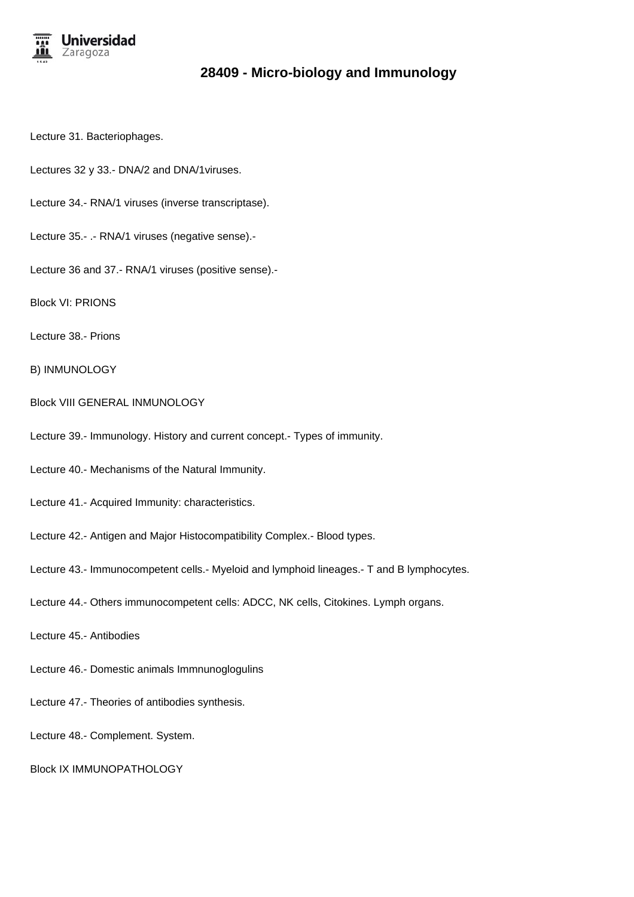

- Lecture 31. Bacteriophages.
- Lectures 32 y 33.- DNA/2 and DNA/1viruses.
- Lecture 34.- RNA/1 viruses (inverse transcriptase).
- Lecture 35.- .- RNA/1 viruses (negative sense).-
- Lecture 36 and 37.- RNA/1 viruses (positive sense).-
- Block VI: PRIONS
- Lecture 38.- Prions
- B) INMUNOLOGY
- Block VIII GENERAL INMUNOLOGY
- Lecture 39.- Immunology. History and current concept.- Types of immunity.
- Lecture 40.- Mechanisms of the Natural Immunity.
- Lecture 41.- Acquired Immunity: characteristics.
- Lecture 42.- Antigen and Major Histocompatibility Complex.- Blood types.
- Lecture 43.- Immunocompetent cells.- Myeloid and lymphoid lineages.- T and B lymphocytes.
- Lecture 44.- Others immunocompetent cells: ADCC, NK cells, Citokines. Lymph organs.
- Lecture 45.- Antibodies
- Lecture 46.- Domestic animals Immnunoglogulins
- Lecture 47.- Theories of antibodies synthesis.
- Lecture 48.- Complement. System.
- Block IX IMMUNOPATHOLOGY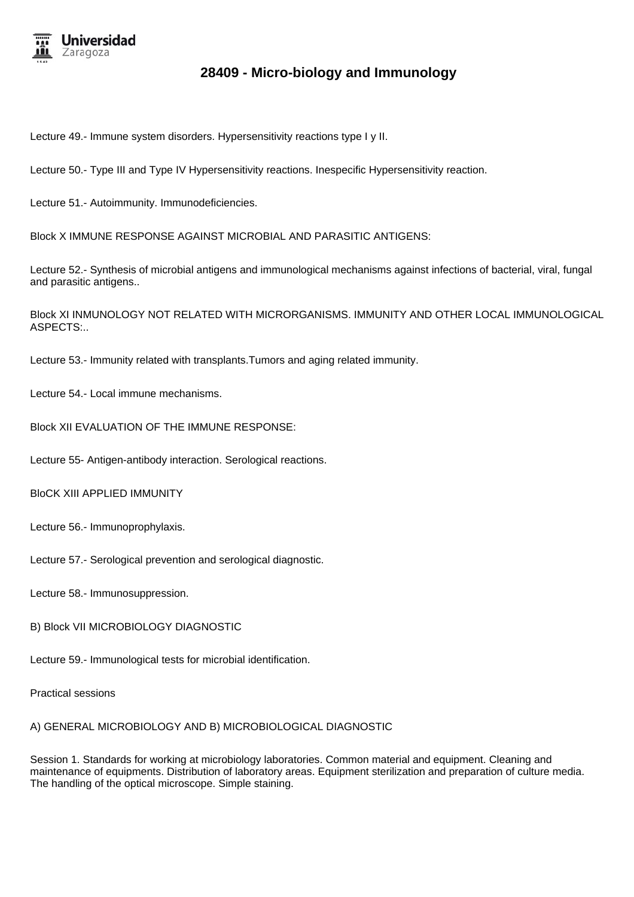

Lecture 49.- Immune system disorders. Hypersensitivity reactions type I y II.

Lecture 50.- Type III and Type IV Hypersensitivity reactions. Inespecific Hypersensitivity reaction.

Lecture 51.- Autoimmunity. Immunodeficiencies.

Block X IMMUNE RESPONSE AGAINST MICROBIAL AND PARASITIC ANTIGENS:

Lecture 52.- Synthesis of microbial antigens and immunological mechanisms against infections of bacterial, viral, fungal and parasitic antigens..

Block XI INMUNOLOGY NOT RELATED WITH MICRORGANISMS. IMMUNITY AND OTHER LOCAL IMMUNOLOGICAL ASPECTS:..

Lecture 53.- Immunity related with transplants.Tumors and aging related immunity.

Lecture 54.- Local immune mechanisms.

Block XII EVALUATION OF THE IMMUNE RESPONSE:

Lecture 55- Antigen-antibody interaction. Serological reactions.

BloCK XIII APPLIED IMMUNITY

Lecture 56.- Immunoprophylaxis.

Lecture 57.- Serological prevention and serological diagnostic.

Lecture 58.- Immunosuppression.

B) Block VII MICROBIOLOGY DIAGNOSTIC

Lecture 59.- Immunological tests for microbial identification.

Practical sessions

A) GENERAL MICROBIOLOGY AND B) MICROBIOLOGICAL DIAGNOSTIC

Session 1. Standards for working at microbiology laboratories. Common material and equipment. Cleaning and maintenance of equipments. Distribution of laboratory areas. Equipment sterilization and preparation of culture media. The handling of the optical microscope. Simple staining.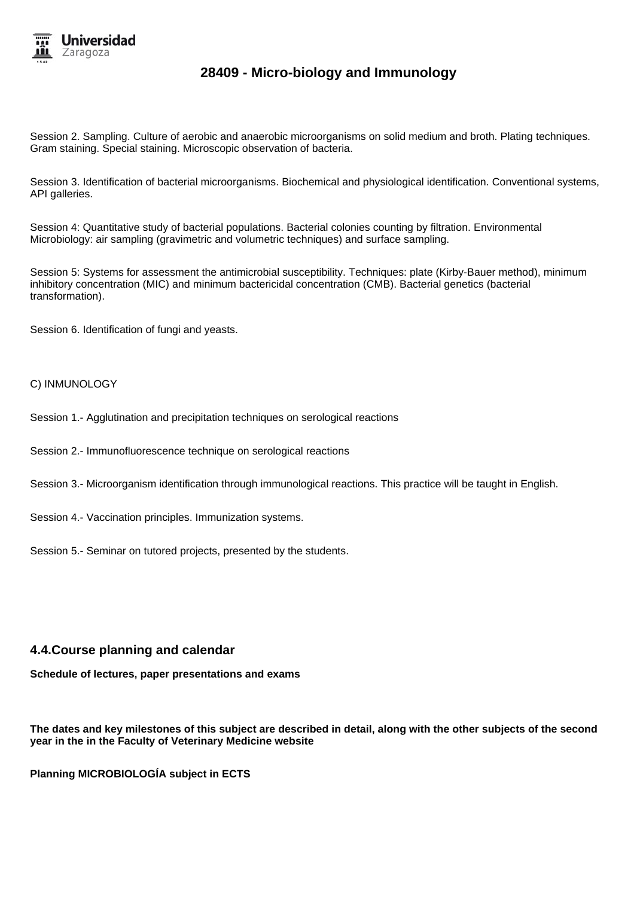

Session 2. Sampling. Culture of aerobic and anaerobic microorganisms on solid medium and broth. Plating techniques. Gram staining. Special staining. Microscopic observation of bacteria.

Session 3. Identification of bacterial microorganisms. Biochemical and physiological identification. Conventional systems, API galleries.

Session 4: Quantitative study of bacterial populations. Bacterial colonies counting by filtration. Environmental Microbiology: air sampling (gravimetric and volumetric techniques) and surface sampling.

Session 5: Systems for assessment the antimicrobial susceptibility. Techniques: plate (Kirby-Bauer method), minimum inhibitory concentration (MIC) and minimum bactericidal concentration (CMB). Bacterial genetics (bacterial transformation).

Session 6. Identification of fungi and yeasts.

#### C) INMUNOLOGY

- Session 1.- Agglutination and precipitation techniques on serological reactions
- Session 2.- Immunofluorescence technique on serological reactions
- Session 3.- Microorganism identification through immunological reactions. This practice will be taught in English.
- Session 4.- Vaccination principles. Immunization systems.
- Session 5.- Seminar on tutored projects, presented by the students.

### **4.4.Course planning and calendar**

**Schedule of lectures, paper presentations and exams**

**The dates and key milestones of this subject are described in detail, along with the other subjects of the second year in the in the Faculty of Veterinary Medicine website**

**Planning MICROBIOLOGÍA subject in ECTS**